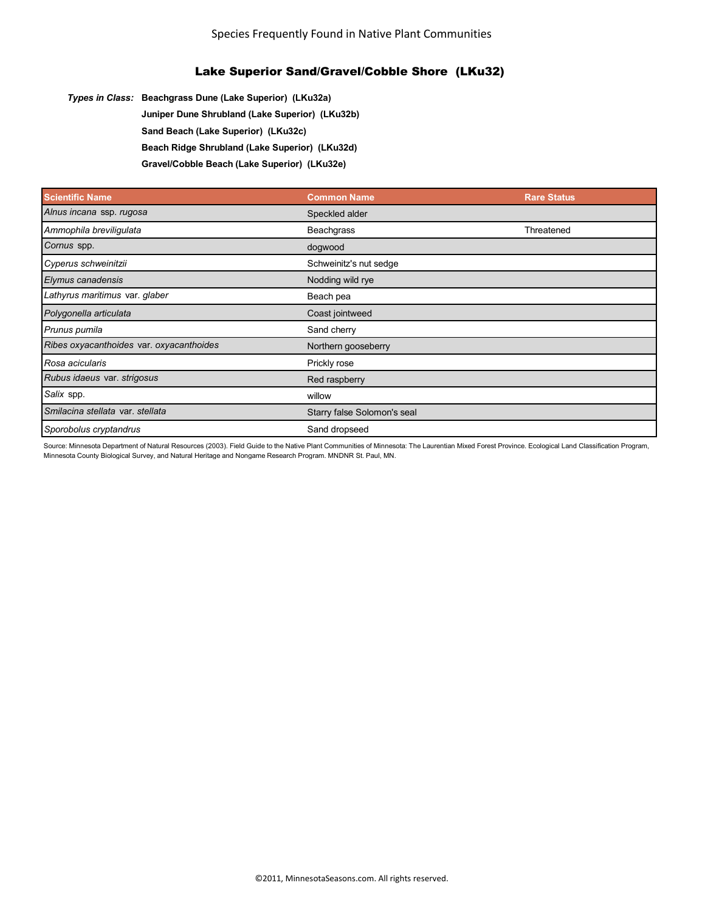*Types in Class:* **Beachgrass Dune (Lake Superior) (LKu32a)**

**Juniper Dune Shrubland (Lake Superior) (LKu32b)**

**Sand Beach (Lake Superior) (LKu32c)**

**Beach Ridge Shrubland (Lake Superior) (LKu32d)**

**Gravel/Cobble Beach (Lake Superior) (LKu32e)**

| <b>Scientific Name</b>                   | <b>Common Name</b>          | <b>Rare Status</b> |
|------------------------------------------|-----------------------------|--------------------|
| Alnus incana ssp. rugosa                 | Speckled alder              |                    |
| Ammophila breviligulata                  | Beachgrass                  | Threatened         |
| Cornus spp.                              | dogwood                     |                    |
| Cyperus schweinitzii                     | Schweinitz's nut sedge      |                    |
| Elymus canadensis                        | Nodding wild rye            |                    |
| Lathyrus maritimus var. glaber           | Beach pea                   |                    |
| Polygonella articulata                   | Coast jointweed             |                    |
| Prunus pumila                            | Sand cherry                 |                    |
| Ribes oxyacanthoides var. oxyacanthoides | Northern gooseberry         |                    |
| Rosa acicularis                          | Prickly rose                |                    |
| Rubus idaeus var. strigosus              | Red raspberry               |                    |
| Salix spp.                               | willow                      |                    |
| Smilacina stellata var. stellata         | Starry false Solomon's seal |                    |
| Sporobolus cryptandrus                   | Sand dropseed               |                    |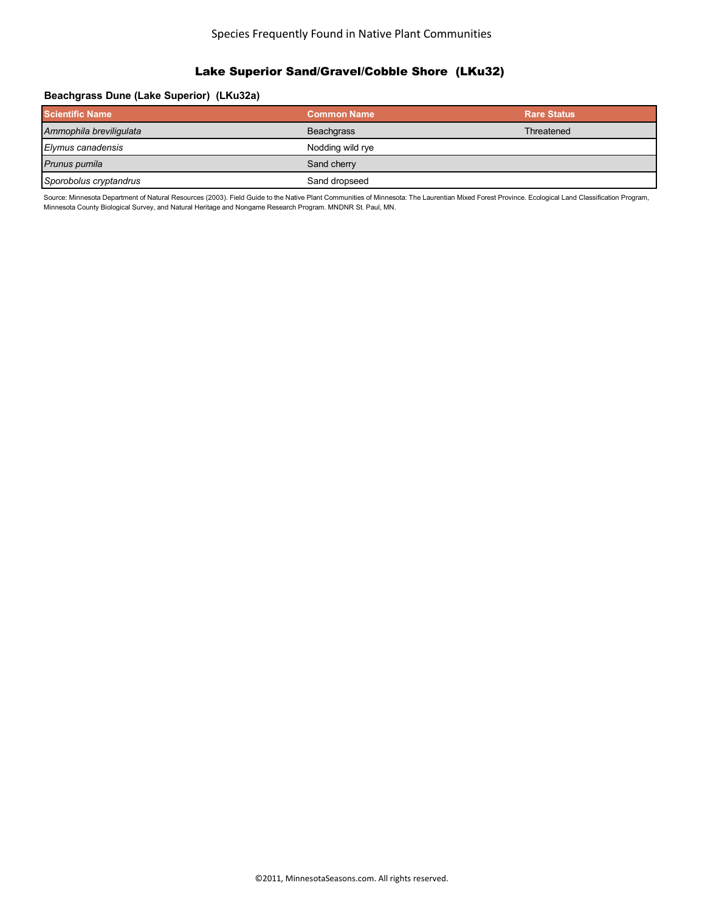### Species Frequently Found in Native Plant Communities

#### Lake Superior Sand/Gravel/Cobble Shore (LKu32)

#### **Beachgrass Dune (Lake Superior) (LKu32a)**

| <b>Scientific Name</b>  | <b>Common Name</b> | <b>Rare Status</b> |
|-------------------------|--------------------|--------------------|
| Ammophila breviligulata | <b>Beachgrass</b>  | Threatened         |
| Elymus canadensis       | Nodding wild rye   |                    |
| Prunus pumila           | Sand cherry        |                    |
| Sporobolus cryptandrus  | Sand dropseed      |                    |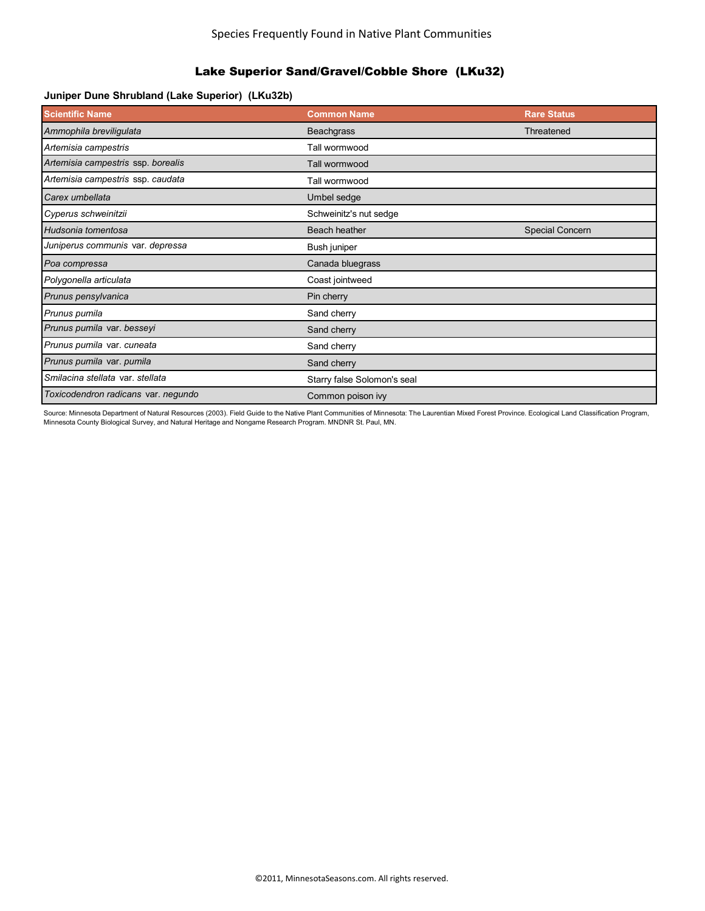### **Juniper Dune Shrubland (Lake Superior) (LKu32b)**

| <b>Scientific Name</b>              | <b>Common Name</b>          | <b>Rare Status</b> |
|-------------------------------------|-----------------------------|--------------------|
| Ammophila breviligulata             | <b>Beachgrass</b>           | Threatened         |
| Artemisia campestris                | Tall wormwood               |                    |
| Artemisia campestris ssp. borealis  | Tall wormwood               |                    |
| Artemisia campestris ssp. caudata   | Tall wormwood               |                    |
| Carex umbellata                     | Umbel sedge                 |                    |
| Cyperus schweinitzii                | Schweinitz's nut sedge      |                    |
| Hudsonia tomentosa                  | Beach heather               | Special Concern    |
| Juniperus communis var. depressa    | Bush juniper                |                    |
| Poa compressa                       | Canada bluegrass            |                    |
| Polygonella articulata              | Coast jointweed             |                    |
| Prunus pensylvanica                 | Pin cherry                  |                    |
| Prunus pumila                       | Sand cherry                 |                    |
| Prunus pumila var. besseyi          | Sand cherry                 |                    |
| Prunus pumila var. cuneata          | Sand cherry                 |                    |
| Prunus pumila var. pumila           | Sand cherry                 |                    |
| Smilacina stellata var. stellata    | Starry false Solomon's seal |                    |
| Toxicodendron radicans var. negundo | Common poison ivy           |                    |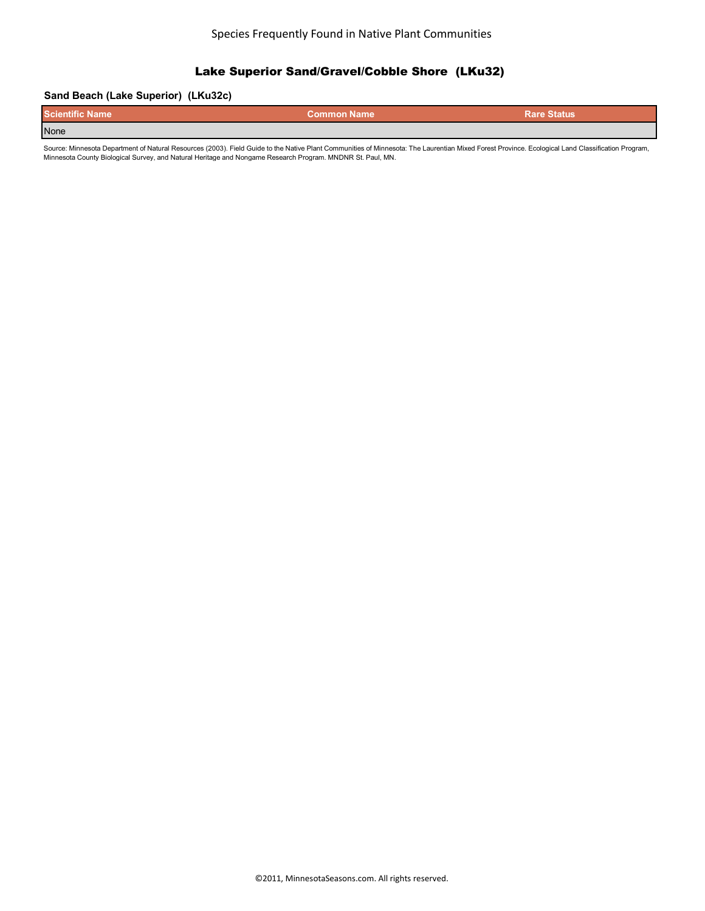### **Sand Beach (Lake Superior) (LKu32c)**

| <b>Scientific Name</b> | <b>Common Name</b> | <b>Rare Status</b> |
|------------------------|--------------------|--------------------|
| None                   |                    |                    |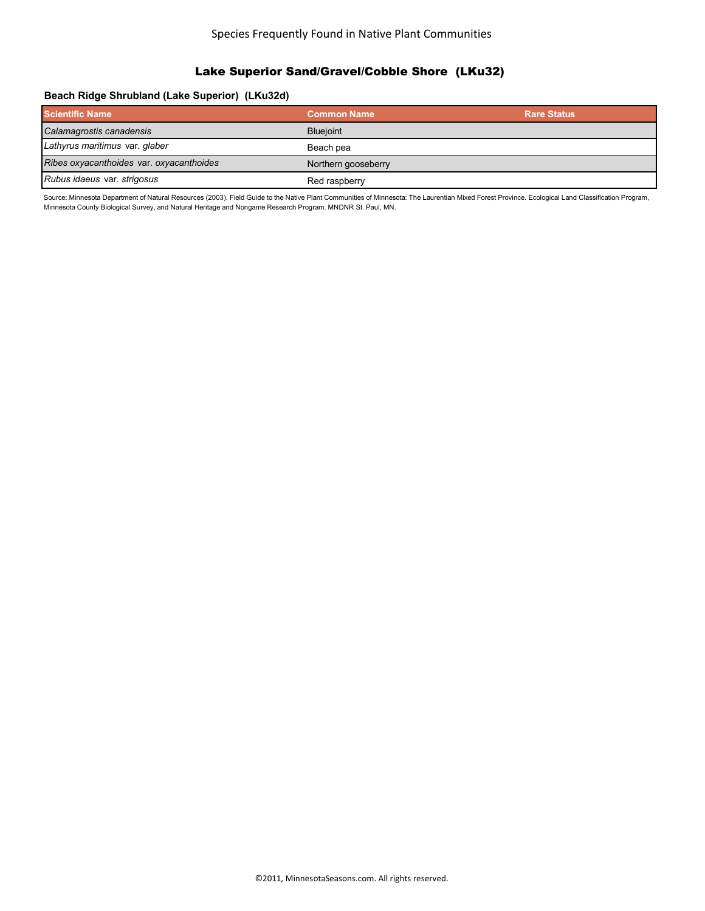### **Beach Ridge Shrubland (Lake Superior) (LKu32d)**

| <b>Scientific Name</b>                   | <b>Common Name</b>  | <b>Rare Status</b> |
|------------------------------------------|---------------------|--------------------|
| Calamagrostis canadensis                 | <b>Blueioint</b>    |                    |
| Lathyrus maritimus var. glaber           | Beach pea           |                    |
| Ribes oxyacanthoides var. oxyacanthoides | Northern gooseberry |                    |
| Rubus idaeus var. strigosus              | Red raspberry       |                    |